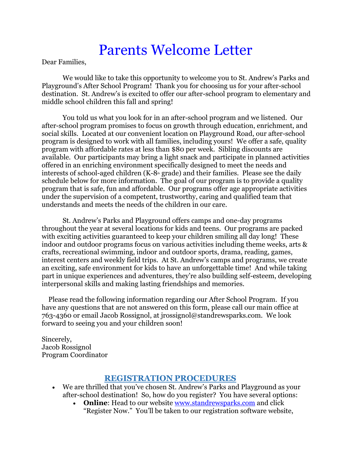# Parents Welcome Letter

Dear Families,

We would like to take this opportunity to welcome you to St. Andrew's Parks and Playground's After School Program! Thank you for choosing us for your after-school destination. St. Andrew's is excited to offer our after-school program to elementary and middle school children this fall and spring!

You told us what you look for in an after-school program and we listened. Our after-school program promises to focus on growth through education, enrichment, and social skills. Located at our convenient location on Playground Road, our after-school program is designed to work with all families, including yours! We offer a safe, quality program with affordable rates at less than \$80 per week. Sibling discounts are available. Our participants may bring a light snack and participate in planned activities offered in an enriching environment specifically designed to meet the needs and interests of school-aged children  $(K-8<sup>th</sup>$  grade) and their families. Please see the daily schedule below for more information. The goal of our program is to provide a quality program that is safe, fun and affordable. Our programs offer age appropriate activities under the supervision of a competent, trustworthy, caring and qualified team that understands and meets the needs of the children in our care.

St. Andrew's Parks and Playground offers camps and one-day programs throughout the year at several locations for kids and teens. Our programs are packed with exciting activities guaranteed to keep your children smiling all day long! These indoor and outdoor programs focus on various activities including theme weeks, arts & crafts, recreational swimming, indoor and outdoor sports, drama, reading, games, interest centers and weekly field trips. At St. Andrew's camps and programs, we create an exciting, safe environment for kids to have an unforgettable time! And while taking part in unique experiences and adventures, they're also building self-esteem, developing interpersonal skills and making lasting friendships and memories.

 Please read the following information regarding our After School Program. If you have any questions that are not answered on this form, please call our main office at 763-4360 or email Jacob Rossignol, at jrossignol@standrewsparks.com. We look forward to seeing you and your children soon!

Sincerely, Jacob Rossignol Program Coordinator

#### **REGISTRATION PROCEDURES**

- We are thrilled that you've chosen St. Andrew's Parks and Playground as your after-school destination! So, how do you register? You have several options:
	- **Online:** Head to our website [www.standrewsparks.com](http://www.standrewsparks.com/) and click "Register Now." You'll be taken to our registration software website,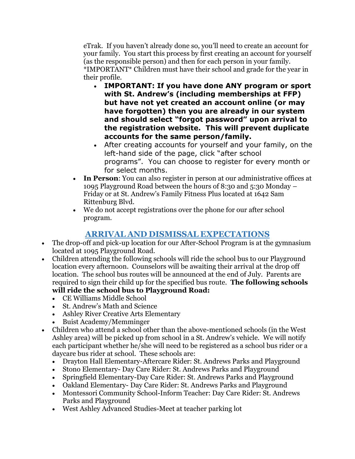eTrak. If you haven't already done so, you'll need to create an account for your family. You start this process by first creating an account for yourself (as the responsible person) and then for each person in your family. \*IMPORTANT\* Children must have their school and grade for the year in their profile.

- **IMPORTANT: If you have done ANY program or sport with St. Andrew's (including memberships at FFP) but have not yet created an account online (or may have forgotten) then you are already in our system and should select "forgot password" upon arrival to the registration website. This will prevent duplicate accounts for the same person/family.**
- After creating accounts for yourself and your family, on the left-hand side of the page, click "after school programs". You can choose to register for every month or for select months.
- **In Person**: You can also register in person at our administrative offices at 1095 Playground Road between the hours of 8:30 and 5:30 Monday – Friday or at St. Andrew's Family Fitness Plus located at 1642 Sam Rittenburg Blvd.
- We do not accept registrations over the phone for our after school program.

# **ARRIVAL AND DISMISSAL EXPECTATIONS**

- The drop-off and pick-up location for our After-School Program is at the gymnasium located at 1095 Playground Road.
- Children attending the following schools will ride the school bus to our Playground location every afternoon. Counselors will be awaiting their arrival at the drop off location. The school bus routes will be announced at the end of July. Parents are required to sign their child up for the specified bus route. **The following schools will ride the school bus to Playground Road:**
	- CE Williams Middle School
	- St. Andrew's Math and Science
	- Ashley River Creative Arts Elementary
	- Buist Academy/Memminger
- Children who attend a school other than the above-mentioned schools (in the West Ashley area) will be picked up from school in a St. Andrew's vehicle. We will notify each participant whether he/she will need to be registered as a school bus rider or a daycare bus rider at school. These schools are:
	- Drayton Hall Elementary-Aftercare Rider: St. Andrews Parks and Playground
	- Stono Elementary- Day Care Rider: St. Andrews Parks and Playground
	- Springfield Elementary-Day Care Rider: St. Andrews Parks and Playground
	- Oakland Elementary- Day Care Rider: St. Andrews Parks and Playground
	- Montessori Community School-Inform Teacher: Day Care Rider: St. Andrews Parks and Playground
	- West Ashley Advanced Studies-Meet at teacher parking lot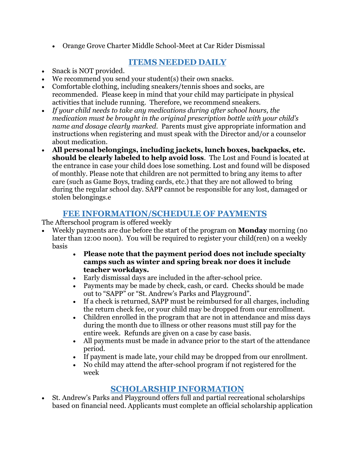• Orange Grove Charter Middle School-Meet at Car Rider Dismissal

## **ITEMS NEEDED DAILY**

- Snack is NOT provided.
- We recommend you send your student(s) their own snacks.
- Comfortable clothing, including sneakers/tennis shoes and socks, are recommended. Please keep in mind that your child may participate in physical activities that include running. Therefore, we recommend sneakers.
- *If your child needs to take any medications during after school hours, the medication must be brought in the original prescription bottle with your child's name and dosage clearly marked.* Parents must give appropriate information and instructions when registering and must speak with the Director and/or a counselor about medication.
- **All personal belongings, including jackets, lunch boxes, backpacks, etc. should be clearly labeled to help avoid loss**. The Lost and Found is located at the entrance in case your child does lose something. Lost and found will be disposed of monthly. Please note that children are not permitted to bring any items to after care (such as Game Boys, trading cards, etc.) that they are not allowed to bring during the regular school day. SAPP cannot be responsible for any lost, damaged or stolen belongings.e

## **FEE INFORMATION/SCHEDULE OF PAYMENTS**

The Afterschool program is offered weekly

- Weekly payments are due before the start of the program on **Monday** morning (no later than 12:00 noon). You will be required to register your child(ren) on a weekly basis
	- **Please note that the payment period does not include specialty camps such as winter and spring break nor does it include teacher workdays.**
	- Early dismissal days are included in the after-school price.
	- Payments may be made by check, cash, or card. Checks should be made out to "SAPP" or "St. Andrew's Parks and Playground".
	- If a check is returned, SAPP must be reimbursed for all charges, including the return check fee, or your child may be dropped from our enrollment.
	- Children enrolled in the program that are not in attendance and miss days during the month due to illness or other reasons must still pay for the entire week. Refunds are given on a case by case basis.
	- All payments must be made in advance prior to the start of the attendance period.
	- If payment is made late, your child may be dropped from our enrollment.
	- No child may attend the after-school program if not registered for the week

# **SCHOLARSHIP INFORMATION**

• St. Andrew's Parks and Playground offers full and partial recreational scholarships based on financial need. Applicants must complete an official scholarship application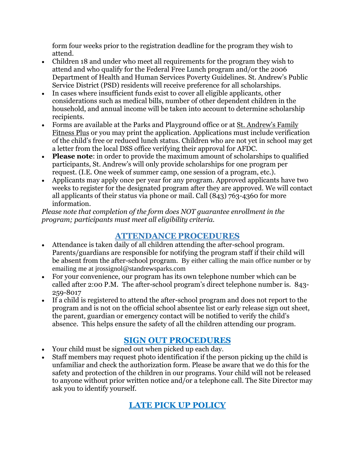form four weeks prior to the registration deadline for the program they wish to attend.

- Children 18 and under who meet all requirements for the program they wish to attend and who qualify for the Federal Free Lunch program and/or the 2006 Department of Health and Human Services Poverty Guidelines. St. Andrew's Public Service District (PSD) residents will receive preference for all scholarships.
- In cases where insufficient funds exist to cover all eligible applicants, other considerations such as medical bills, number of other dependent children in the household, and annual income will be taken into account to determine scholarship recipients.
- Forms are available at the Parks and Playground office or at [St. Andrew's Family](http://www.standrewsfitness.com/)  [Fitness Plus](http://www.standrewsfitness.com/) or you may print the application. Applications must include verification of the child's free or reduced lunch status. Children who are not yet in school may get a letter from the local DSS office verifying their approval for AFDC.
- **Please note**: in order to provide the maximum amount of scholarships to qualified participants, St. Andrew's will only provide scholarships for one program per request. (I.E. One week of summer camp, one session of a program, etc.).
- Applicants may apply once per year for any program. Approved applicants have two weeks to register for the designated program after they are approved. We will contact all applicants of their status via phone or mail. Call (843) 763-4360 for more information.

*Please note that completion of the form does NOT guarantee enrollment in the program; participants must meet all eligibility criteria.*

# **ATTENDANCE PROCEDURES**

- Attendance is taken daily of all children attending the after-school program. Parents/guardians are responsible for notifying the program staff if their child will be absent from the after-school program. By either calling the main office number or by emailing me at jrossignol@standrewsparks.com
- For your convenience, our program has its own telephone number which can be called after 2:00 P.M. The after-school program's direct telephone number is. 843- 259-8017
- If a child is registered to attend the after-school program and does not report to the program and is not on the official school absentee list or early release sign out sheet, the parent, guardian or emergency contact will be notified to verify the child's absence. This helps ensure the safety of all the children attending our program.

# **SIGN OUT PROCEDURES**

- Your child must be signed out when picked up each day.
- Staff members may request photo identification if the person picking up the child is unfamiliar and check the authorization form. Please be aware that we do this for the safety and protection of the children in our programs. Your child will not be released to anyone without prior written notice and/or a telephone call. The Site Director may ask you to identify yourself.

# **LATE PICK UP POLICY**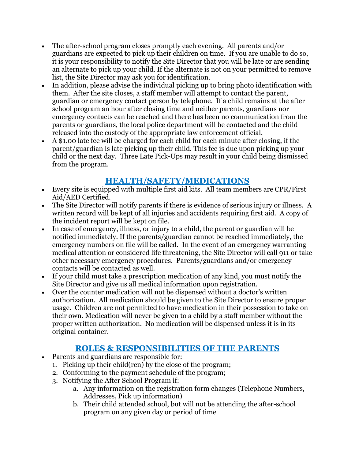- The after-school program closes promptly each evening. All parents and/or guardians are expected to pick up their children on time. If you are unable to do so, it is your responsibility to notify the Site Director that you will be late or are sending an alternate to pick up your child. If the alternate is not on your permitted to remove list, the Site Director may ask you for identification.
- In addition, please advise the individual picking up to bring photo identification with them. After the site closes, a staff member will attempt to contact the parent, guardian or emergency contact person by telephone. If a child remains at the after school program an hour after closing time and neither parents, guardians nor emergency contacts can be reached and there has been no communication from the parents or guardians, the local police department will be contacted and the child released into the custody of the appropriate law enforcement official.
- A \$1.00 late fee will be charged for each child for each minute after closing, if the parent/guardian is late picking up their child. This fee is due upon picking up your child or the next day. Three Late Pick-Ups may result in your child being dismissed from the program.

# **HEALTH/SAFETY/MEDICATIONS**

- Every site is equipped with multiple first aid kits. All team members are CPR/First Aid/AED Certified.
- The Site Director will notify parents if there is evidence of serious injury or illness. A written record will be kept of all injuries and accidents requiring first aid. A copy of the incident report will be kept on file.
- In case of emergency, illness, or injury to a child, the parent or guardian will be notified immediately. If the parents/guardian cannot be reached immediately, the emergency numbers on file will be called. In the event of an emergency warranting medical attention or considered life threatening, the Site Director will call 911 or take other necessary emergency procedures. Parents/guardians and/or emergency contacts will be contacted as well.
- If your child must take a prescription medication of any kind, you must notify the Site Director and give us all medical information upon registration.
- Over the counter medication will not be dispensed without a doctor's written authorization. All medication should be given to the Site Director to ensure proper usage. Children are not permitted to have medication in their possession to take on their own. Medication will never be given to a child by a staff member without the proper written authorization. No medication will be dispensed unless it is in its original container.

## **ROLES & RESPONSIBILITIES OF THE PARENTS**

- Parents and guardians are responsible for:
	- 1. Picking up their child(ren) by the close of the program;
	- 2. Conforming to the payment schedule of the program;
	- 3. Notifying the After School Program if:
		- a. Any information on the registration form changes (Telephone Numbers, Addresses, Pick up information)
		- b. Their child attended school, but will not be attending the after-school program on any given day or period of time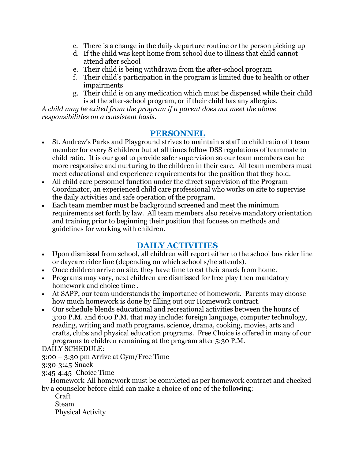- c. There is a change in the daily departure routine or the person picking up
- d. If the child was kept home from school due to illness that child cannot attend after school
- e. Their child is being withdrawn from the after-school program
- f. Their child's participation in the program is limited due to health or other impairments
- g. Their child is on any medication which must be dispensed while their child is at the after-school program, or if their child has any allergies.

*A child may be exited from the program if a parent does not meet the above responsibilities on a consistent basis.*

## **PERSONNEL**

- St. Andrew's Parks and Playground strives to maintain a staff to child ratio of 1 team member for every 8 children but at all times follow DSS regulations of teammate to child ratio. It is our goal to provide safer supervision so our team members can be more responsive and nurturing to the children in their care. All team members must meet educational and experience requirements for the position that they hold.
- All child care personnel function under the direct supervision of the Program Coordinator, an experienced child care professional who works on site to supervise the daily activities and safe operation of the program.
- Each team member must be background screened and meet the minimum requirements set forth by law. All team members also receive mandatory orientation and training prior to beginning their position that focuses on methods and guidelines for working with children.

## **DAILY ACTIVITIES**

- Upon dismissal from school, all children will report either to the school bus rider line or daycare rider line (depending on which school s/he attends).
- Once children arrive on site, they have time to eat their snack from home.
- Programs may vary, next children are dismissed for free play then mandatory homework and choice time .
- At SAPP, our team understands the importance of homework. Parents may choose how much homework is done by filling out our Homework contract.
- Our schedule blends educational and recreational activities between the hours of 3:00 P.M. and 6:00 P.M. that may include: foreign language, computer technology, reading, writing and math programs, science, drama, cooking, movies, arts and crafts, clubs and physical education programs. Free Choice is offered in many of our programs to children remaining at the program after 5:30 P.M.

DAILY SCHEDULE:

3:00 – 3:30 pm Arrive at Gym/Free Time

3:30-3:45-Snack

3:45-4:45- Choice Time

 Homework-All homework must be completed as per homework contract and checked by a counselor before child can make a choice of one of the following:

Craft

Steam

Physical Activity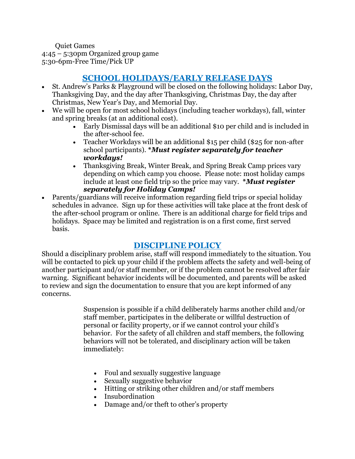Quiet Games 4:45 – 5:30pm Organized group game 5:30-6pm-Free Time/Pick UP

## **SCHOOL HOLIDAYS/EARLY RELEASE DAYS**

- St. Andrew's Parks & Playground will be closed on the following holidays: Labor Day, Thanksgiving Day, and the day after Thanksgiving, Christmas Day, the day after Christmas, New Year's Day, and Memorial Day.
- We will be open for most school holidays (including teacher workdays), fall, winter and spring breaks (at an additional cost).
	- Early Dismissal days will be an additional \$10 per child and is included in the after-school fee.
	- Teacher Workdays will be an additional \$15 per child (\$25 for non-after school participants). **\****Must register separately for teacher workdays!*
	- Thanksgiving Break, Winter Break, and Spring Break Camp prices vary depending on which camp you choose. Please note: most holiday camps include at least one field trip so the price may vary. **\****Must register separately for Holiday Camps!*
- Parents/guardians will receive information regarding field trips or special holiday schedules in advance. Sign up for these activities will take place at the front desk of the after-school program or online. There is an additional charge for field trips and holidays. Space may be limited and registration is on a first come, first served basis.

## **DISCIPLINE POLICY**

Should a disciplinary problem arise, staff will respond immediately to the situation. You will be contacted to pick up your child if the problem affects the safety and well-being of another participant and/or staff member, or if the problem cannot be resolved after fair warning. Significant behavior incidents will be documented, and parents will be asked to review and sign the documentation to ensure that you are kept informed of any concerns.

> Suspension is possible if a child deliberately harms another child and/or staff member, participates in the deliberate or willful destruction of personal or facility property, or if we cannot control your child's behavior. For the safety of all children and staff members, the following behaviors will not be tolerated, and disciplinary action will be taken immediately:

- Foul and sexually suggestive language
- Sexually suggestive behavior
- Hitting or striking other children and/or staff members
- Insubordination
- Damage and/or theft to other's property